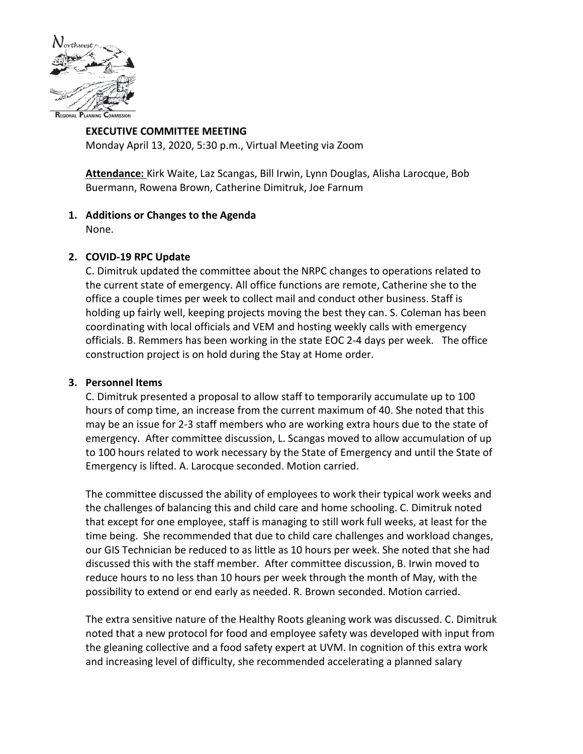

#### **EXECUTIVE COMMITTEE MEETING** Monday April 13, 2020, 5:30 p.m., Virtual Meeting via Zoom

**Attendance:** Kirk Waite, Laz Scangas, Bill Irwin, Lynn Douglas, Alisha Larocque, Bob Buermann, Rowena Brown, Catherine Dimitruk, Joe Farnum

# **1. Additions or Changes to the Agenda**

None.

# **2. COVID-19 RPC Update**

C. Dimitruk updated the committee about the NRPC changes to operations related to the current state of emergency. All office functions are remote, Catherine she to the office a couple times per week to collect mail and conduct other business. Staff is holding up fairly well, keeping projects moving the best they can. S. Coleman has been coordinating with local officials and VEM and hosting weekly calls with emergency officials. B. Remmers has been working in the state EOC 2-4 days per week. The office construction project is on hold during the Stay at Home order.

## **3. Personnel Items**

C. Dimitruk presented a proposal to allow staff to temporarily accumulate up to 100 hours of comp time, an increase from the current maximum of 40. She noted that this may be an issue for 2-3 staff members who are working extra hours due to the state of emergency. After committee discussion, L. Scangas moved to allow accumulation of up to 100 hours related to work necessary by the State of Emergency and until the State of Emergency is lifted. A. Larocque seconded. Motion carried.

The committee discussed the ability of employees to work their typical work weeks and the challenges of balancing this and child care and home schooling. C. Dimitruk noted that except for one employee, staff is managing to still work full weeks, at least for the time being. She recommended that due to child care challenges and workload changes, our GIS Technician be reduced to as little as 10 hours per week. She noted that she had discussed this with the staff member. After committee discussion, B. Irwin moved to reduce hours to no less than 10 hours per week through the month of May, with the possibility to extend or end early as needed. R. Brown seconded. Motion carried.

The extra sensitive nature of the Healthy Roots gleaning work was discussed. C. Dimitruk noted that a new protocol for food and employee safety was developed with input from the gleaning collective and a food safety expert at UVM. In cognition of this extra work and increasing level of difficulty, she recommended accelerating a planned salary